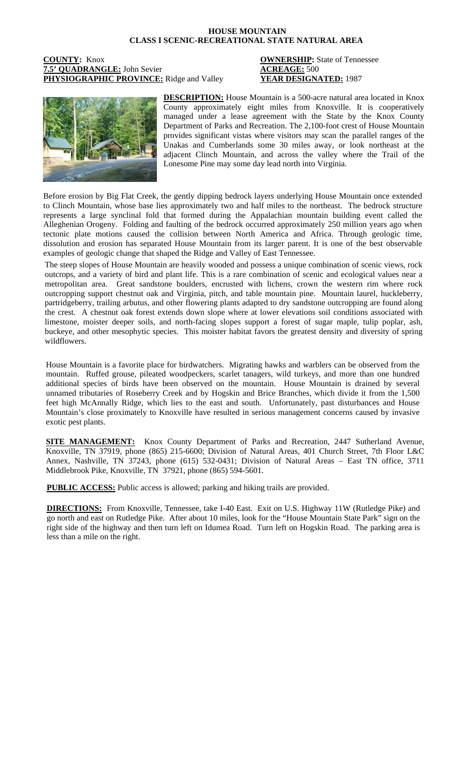## **HOUSE MOUNTAIN CLASS I SCENIC-RECREATIONAL STATE NATURAL AREA**

## **COUNTY:** Knox **OWNERSHIP:** State of Tennessee **7.5' QUADRANGLE:** John Sevier<br> **PHYSIOGRAPHIC PROVINCE:** Ridge and Valley **ACREAGE: 500**<br> **PHYSIOGRAPHIC PROVINCE:** Ridge and Valley **YEAR DESIGNATED:** 1987 **PHYSIOGRAPHIC PROVINCE:** Ridge and Valley



**DESCRIPTION:** House Mountain is a 500-acre natural area located in Knox County approximately eight miles from Knoxville. It is cooperatively managed under a lease agreement with the State by the Knox County Department of Parks and Recreation. The 2,100-foot crest of House Mountain provides significant vistas where visitors may scan the parallel ranges of the Unakas and Cumberlands some 30 miles away, or look northeast at the adjacent Clinch Mountain, and across the valley where the Trail of the Lonesome Pine may some day lead north into Virginia.

Before erosion by Big Flat Creek, the gently dipping bedrock layers underlying House Mountain once extended to Clinch Mountain, whose base lies approximately two and half miles to the northeast. The bedrock structure represents a large synclinal fold that formed during the Appalachian mountain building event called the Alleghenian Orogeny. Folding and faulting of the bedrock occurred approximately 250 million years ago when tectonic plate motions caused the collision between North America and Africa. Through geologic time, dissolution and erosion has separated House Mountain from its larger parent. It is one of the best observable examples of geologic change that shaped the Ridge and Valley of East Tennessee.

The steep slopes of House Mountain are heavily wooded and possess a unique combination of scenic views, rock outcrops, and a variety of bird and plant life. This is a rare combination of scenic and ecological values near a metropolitan area. Great sandstone boulders, encrusted with lichens, crown the western rim where rock outcropping support chestnut oak and Virginia, pitch, and table mountain pine. Mountain laurel, huckleberry, partridgeberry, trailing arbutus, and other flowering plants adapted to dry sandstone outcropping are found along the crest. A chestnut oak forest extends down slope where at lower elevations soil conditions associated with limestone, moister deeper soils, and north-facing slopes support a forest of sugar maple, tulip poplar, ash, buckeye, and other mesophytic species. This moister habitat favors the greatest density and diversity of spring wildflowers.

House Mountain is a favorite place for birdwatchers. Migrating hawks and warblers can be observed from the mountain. Ruffed grouse, pileated woodpeckers, scarlet tanagers, wild turkeys, and more than one hundred additional species of birds have been observed on the mountain. House Mountain is drained by several unnamed tributaries of Roseberry Creek and by Hogskin and Brice Branches, which divide it from the 1,500 feet high McAnnally Ridge, which lies to the east and south. Unfortunately, past disturbances and House Mountain's close proximately to Knoxville have resulted in serious management concerns caused by invasive exotic pest plants.

**SITE MANAGEMENT:** Knox County Department of Parks and Recreation, 2447 Sutherland Avenue, Knoxville, TN 37919, phone (865) 215-6600; Division of Natural Areas, 401 Church Street, 7th Floor L&C Annex, Nashville, TN 37243, phone (615) 532-0431; Division of Natural Areas – East TN office, 3711 Middlebrook Pike, Knoxville, TN 37921, phone (865) 594-5601.

**PUBLIC ACCESS:** Public access is allowed; parking and hiking trails are provided.

**DIRECTIONS:** From Knoxville, Tennessee, take I-40 East. Exit on U.S. Highway 11W (Rutledge Pike) and go north and east on Rutledge Pike. After about 10 miles, look for the "House Mountain State Park" sign on the right side of the highway and then turn left on Idumea Road. Turn left on Hogskin Road. The parking area is less than a mile on the right.